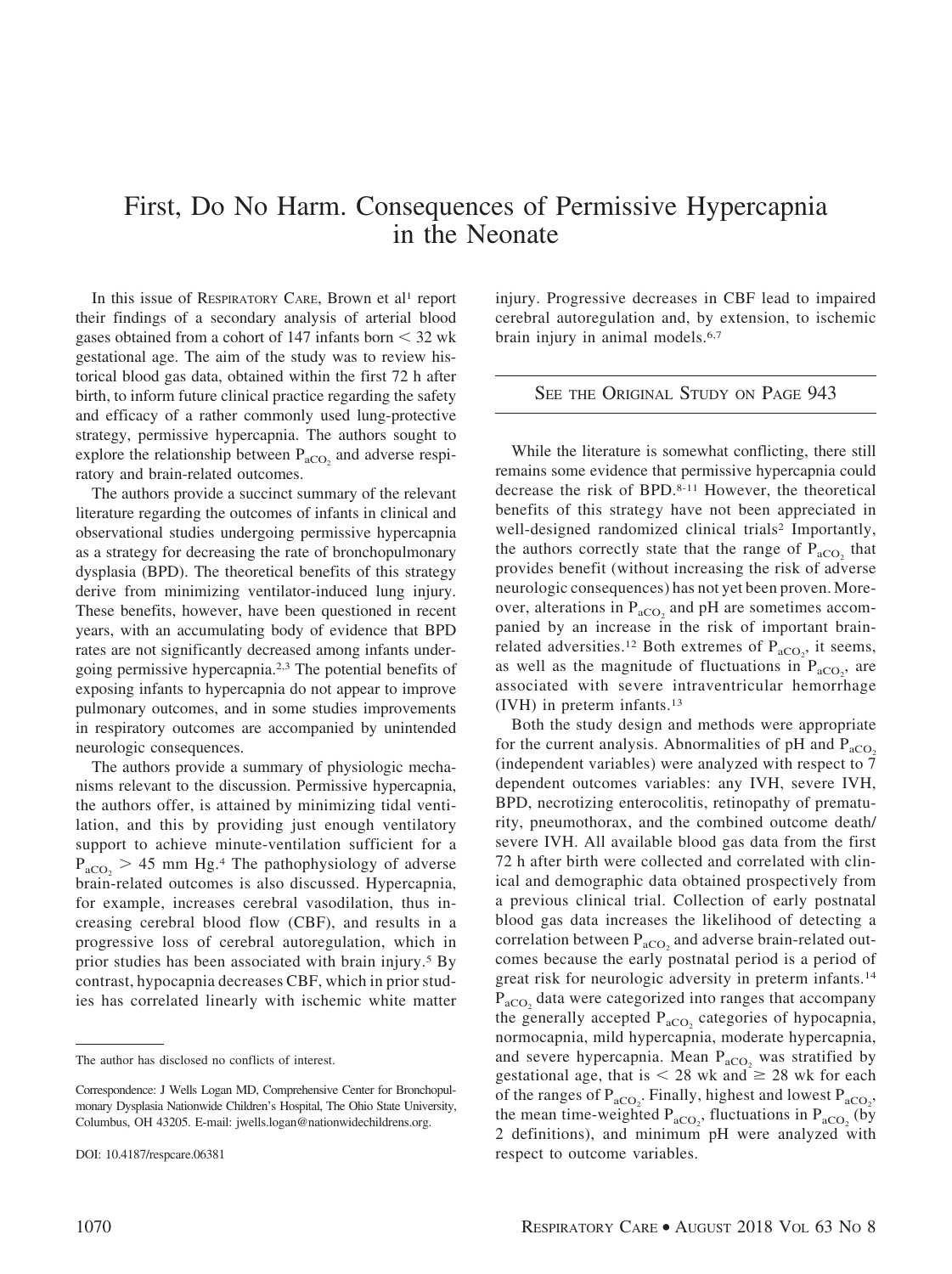## First, Do No Harm. Consequences of Permissive Hypercapnia in the Neonate

In this issue of RESPIRATORY CARE, Brown et al<sup>1</sup> report their findings of a secondary analysis of arterial blood gases obtained from a cohort of  $147$  infants born  $\leq 32$  wk gestational age. The aim of the study was to review historical blood gas data, obtained within the first 72 h after birth, to inform future clinical practice regarding the safety and efficacy of a rather commonly used lung-protective strategy, permissive hypercapnia. The authors sought to explore the relationship between  $P_{aCO_2}$  and adverse respiratory and brain-related outcomes.

The authors provide a succinct summary of the relevant literature regarding the outcomes of infants in clinical and observational studies undergoing permissive hypercapnia as a strategy for decreasing the rate of bronchopulmonary dysplasia (BPD). The theoretical benefits of this strategy derive from minimizing ventilator-induced lung injury. These benefits, however, have been questioned in recent years, with an accumulating body of evidence that BPD rates are not significantly decreased among infants undergoing permissive hypercapnia.2,3 The potential benefits of exposing infants to hypercapnia do not appear to improve pulmonary outcomes, and in some studies improvements in respiratory outcomes are accompanied by unintended neurologic consequences.

The authors provide a summary of physiologic mechanisms relevant to the discussion. Permissive hypercapnia, the authors offer, is attained by minimizing tidal ventilation, and this by providing just enough ventilatory support to achieve minute-ventilation sufficient for a  $P_{\text{aCO}_2} > 45$  mm Hg.<sup>4</sup> The pathophysiology of adverse brain-related outcomes is also discussed. Hypercapnia, for example, increases cerebral vasodilation, thus increasing cerebral blood flow (CBF), and results in a progressive loss of cerebral autoregulation, which in prior studies has been associated with brain injury.5 By contrast, hypocapnia decreases CBF, which in prior studies has correlated linearly with ischemic white matter

The author has disclosed no conflicts of interest.

injury. Progressive decreases in CBF lead to impaired cerebral autoregulation and, by extension, to ischemic brain injury in animal models.6,7

SEE THE ORIGINAL STUDY ON PAGE 943

While the literature is somewhat conflicting, there still remains some evidence that permissive hypercapnia could decrease the risk of BPD.8-11 However, the theoretical benefits of this strategy have not been appreciated in well-designed randomized clinical trials<sup>2</sup> Importantly, the authors correctly state that the range of  $P_{aCO_2}$  that provides benefit (without increasing the risk of adverse neurologic consequences) has not yet been proven. Moreover, alterations in  $P_{aCO_2}$  and pH are sometimes accompanied by an increase in the risk of important brainrelated adversities.<sup>12</sup> Both extremes of  $P_{aCO_2}$ , it seems, as well as the magnitude of fluctuations in  $P_{aCO_2}$ , are associated with severe intraventricular hemorrhage (IVH) in preterm infants.13

Both the study design and methods were appropriate for the current analysis. Abnormalities of pH and  $P_{aCO}$ (independent variables) were analyzed with respect to 7 dependent outcomes variables: any IVH, severe IVH, BPD, necrotizing enterocolitis, retinopathy of prematurity, pneumothorax, and the combined outcome death/ severe IVH. All available blood gas data from the first 72 h after birth were collected and correlated with clinical and demographic data obtained prospectively from a previous clinical trial. Collection of early postnatal blood gas data increases the likelihood of detecting a correlation between  $P_{aCO_2}$  and adverse brain-related outcomes because the early postnatal period is a period of great risk for neurologic adversity in preterm infants.14  $P_{aCO_2}$  data were categorized into ranges that accompany the generally accepted  $P_{aCO_2}$  categories of hypocapnia, normocapnia, mild hypercapnia, moderate hypercapnia, and severe hypercapnia. Mean  $P_{aCO_2}$  was stratified by gestational age, that is  $\leq 28$  wk and  $\geq 28$  wk for each of the ranges of  $P_{aCO_2}$ . Finally, highest and lowest  $P_{aCO_2}$ , the mean time-weighted  $P_{aCO_2}$ , fluctuations in  $P_{aCO_2}$  (by 2 definitions), and minimum pH were analyzed with respect to outcome variables.

Correspondence: J Wells Logan MD, Comprehensive Center for Bronchopulmonary Dysplasia Nationwide Children's Hospital, The Ohio State University, Columbus, OH 43205. E-mail: jwells.logan@nationwidechildrens.org.

DOI: 10.4187/respcare.06381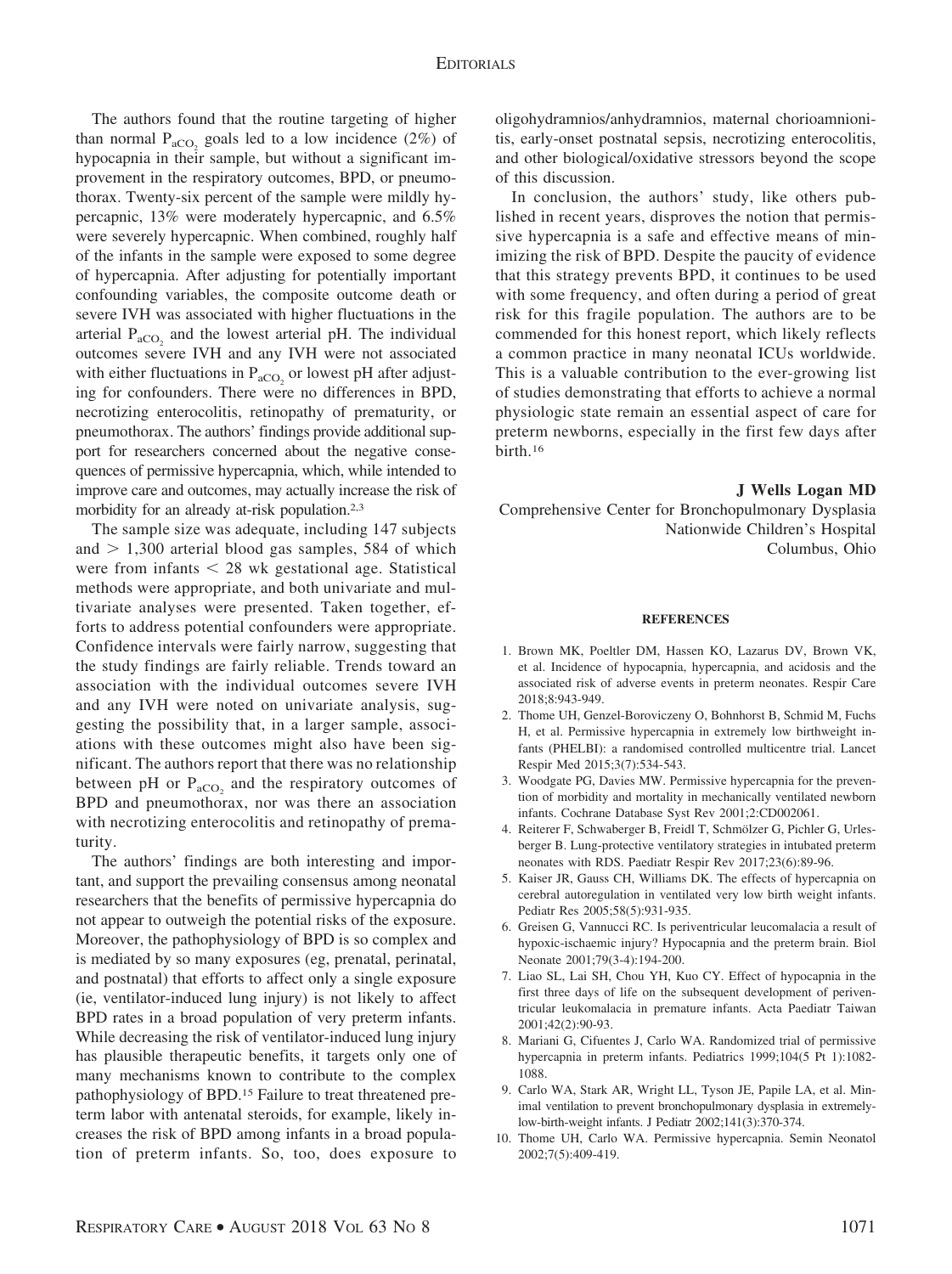The authors found that the routine targeting of higher than normal  $P_{\text{aCO}_2}$  goals led to a low incidence (2%) of hypocapnia in their sample, but without a significant improvement in the respiratory outcomes, BPD, or pneumothorax. Twenty-six percent of the sample were mildly hypercapnic, 13% were moderately hypercapnic, and 6.5% were severely hypercapnic. When combined, roughly half of the infants in the sample were exposed to some degree of hypercapnia. After adjusting for potentially important confounding variables, the composite outcome death or severe IVH was associated with higher fluctuations in the arterial  $P_{aCO_2}$  and the lowest arterial pH. The individual outcomes severe IVH and any IVH were not associated with either fluctuations in  $P_{aCO_2}$  or lowest pH after adjusting for confounders. There were no differences in BPD, necrotizing enterocolitis, retinopathy of prematurity, or pneumothorax. The authors' findings provide additional support for researchers concerned about the negative consequences of permissive hypercapnia, which, while intended to improve care and outcomes, may actually increase the risk of morbidity for an already at-risk population.<sup>2,3</sup>

The sample size was adequate, including 147 subjects and  $> 1,300$  arterial blood gas samples, 584 of which were from infants  $\leq$  28 wk gestational age. Statistical methods were appropriate, and both univariate and multivariate analyses were presented. Taken together, efforts to address potential confounders were appropriate. Confidence intervals were fairly narrow, suggesting that the study findings are fairly reliable. Trends toward an association with the individual outcomes severe IVH and any IVH were noted on univariate analysis, suggesting the possibility that, in a larger sample, associations with these outcomes might also have been significant. The authors report that there was no relationship between pH or  $P_{aCO_2}$  and the respiratory outcomes of BPD and pneumothorax, nor was there an association with necrotizing enterocolitis and retinopathy of prematurity.

The authors' findings are both interesting and important, and support the prevailing consensus among neonatal researchers that the benefits of permissive hypercapnia do not appear to outweigh the potential risks of the exposure. Moreover, the pathophysiology of BPD is so complex and is mediated by so many exposures (eg, prenatal, perinatal, and postnatal) that efforts to affect only a single exposure (ie, ventilator-induced lung injury) is not likely to affect BPD rates in a broad population of very preterm infants. While decreasing the risk of ventilator-induced lung injury has plausible therapeutic benefits, it targets only one of many mechanisms known to contribute to the complex pathophysiology of BPD.15 Failure to treat threatened preterm labor with antenatal steroids, for example, likely increases the risk of BPD among infants in a broad population of preterm infants. So, too, does exposure to oligohydramnios/anhydramnios, maternal chorioamnionitis, early-onset postnatal sepsis, necrotizing enterocolitis, and other biological/oxidative stressors beyond the scope of this discussion.

In conclusion, the authors' study, like others published in recent years, disproves the notion that permissive hypercapnia is a safe and effective means of minimizing the risk of BPD. Despite the paucity of evidence that this strategy prevents BPD, it continues to be used with some frequency, and often during a period of great risk for this fragile population. The authors are to be commended for this honest report, which likely reflects a common practice in many neonatal ICUs worldwide. This is a valuable contribution to the ever-growing list of studies demonstrating that efforts to achieve a normal physiologic state remain an essential aspect of care for preterm newborns, especially in the first few days after birth.16

## **J Wells Logan MD**

Comprehensive Center for Bronchopulmonary Dysplasia Nationwide Children's Hospital Columbus, Ohio

## **REFERENCES**

- 1. Brown MK, Poeltler DM, Hassen KO, Lazarus DV, Brown VK, et al. Incidence of hypocapnia, hypercapnia, and acidosis and the associated risk of adverse events in preterm neonates. Respir Care 2018;8:943-949.
- 2. Thome UH, Genzel-Boroviczeny O, Bohnhorst B, Schmid M, Fuchs H, et al. Permissive hypercapnia in extremely low birthweight infants (PHELBI): a randomised controlled multicentre trial. Lancet Respir Med 2015;3(7):534-543.
- 3. Woodgate PG, Davies MW. Permissive hypercapnia for the prevention of morbidity and mortality in mechanically ventilated newborn infants. Cochrane Database Syst Rev 2001;2:CD002061.
- 4. Reiterer F, Schwaberger B, Freidl T, Schmölzer G, Pichler G, Urlesberger B. Lung-protective ventilatory strategies in intubated preterm neonates with RDS. Paediatr Respir Rev 2017;23(6):89-96.
- 5. Kaiser JR, Gauss CH, Williams DK. The effects of hypercapnia on cerebral autoregulation in ventilated very low birth weight infants. Pediatr Res 2005;58(5):931-935.
- 6. Greisen G, Vannucci RC. Is periventricular leucomalacia a result of hypoxic-ischaemic injury? Hypocapnia and the preterm brain. Biol Neonate 2001;79(3-4):194-200.
- 7. Liao SL, Lai SH, Chou YH, Kuo CY. Effect of hypocapnia in the first three days of life on the subsequent development of periventricular leukomalacia in premature infants. Acta Paediatr Taiwan 2001;42(2):90-93.
- 8. Mariani G, Cifuentes J, Carlo WA. Randomized trial of permissive hypercapnia in preterm infants. Pediatrics 1999;104(5 Pt 1):1082- 1088.
- 9. Carlo WA, Stark AR, Wright LL, Tyson JE, Papile LA, et al. Minimal ventilation to prevent bronchopulmonary dysplasia in extremelylow-birth-weight infants. J Pediatr 2002;141(3):370-374.
- 10. Thome UH, Carlo WA. Permissive hypercapnia. Semin Neonatol 2002;7(5):409-419.